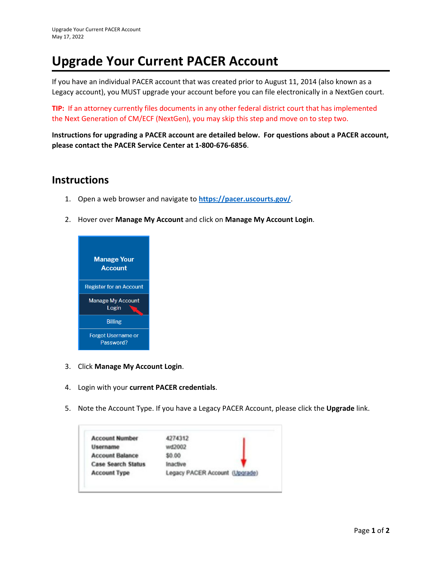## **Upgrade Your Current PACER Account**

If you have an individual PACER account that was created prior to August 11, 2014 (also known as a Legacy account), you MUST upgrade your account before you can file electronically in a NextGen court.

**TIP:** If an attorney currently files documents in any other federal district court that has implemented the Next Generation of CM/ECF (NextGen), you may skip this step and move on to step two.

**Instructions for upgrading a PACER account are detailed below. For questions about a PACER account, please contact the PACER Service Center at 1‐800‐676‐6856**.

## **Instructions**

- 1. Open a web browser and navigate to **https://pacer.uscourts.gov/**.
- 2. Hover over **Manage My Account** and click on **Manage My Account Login**.



- 3. Click **Manage My Account Login**.
- 4. Login with your **current PACER credentials**.
- 5. Note the Account Type. If you have a Legacy PACER Account, please click the **Upgrade** link.

| <b>Account Number</b>     | 4274312                        |
|---------------------------|--------------------------------|
| Username                  | wd2002                         |
| <b>Account Balance</b>    | \$0.00                         |
| <b>Case Search Status</b> | Inactive                       |
| <b>Account Type</b>       | Legacy PACER Account (Upgrade) |